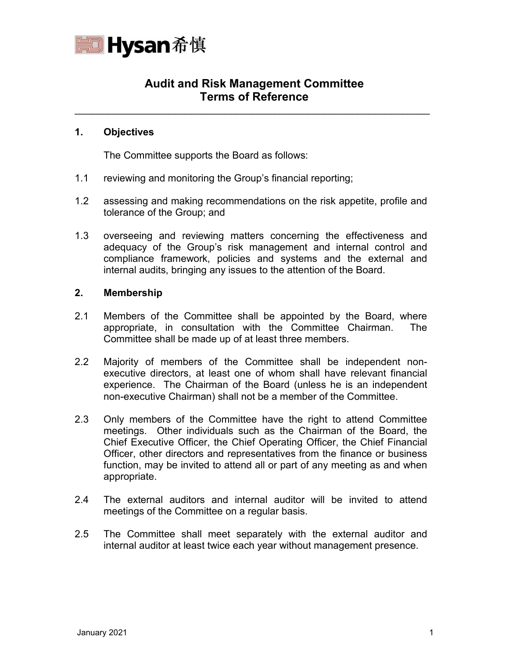

# **Audit and Risk Management Committee Terms of Reference**

\_\_\_\_\_\_\_\_\_\_\_\_\_\_\_\_\_\_\_\_\_\_\_\_\_\_\_\_\_\_\_\_\_\_\_\_\_\_\_\_\_\_\_\_\_\_\_\_\_\_\_\_\_\_\_\_\_\_\_\_\_\_\_\_

## **1. Objectives**

The Committee supports the Board as follows:

- 1.1 reviewing and monitoring the Group's financial reporting;
- 1.2 assessing and making recommendations on the risk appetite, profile and tolerance of the Group; and
- 1.3 overseeing and reviewing matters concerning the effectiveness and adequacy of the Group's risk management and internal control and compliance framework, policies and systems and the external and internal audits, bringing any issues to the attention of the Board.

## **2. Membership**

- 2.1 Members of the Committee shall be appointed by the Board, where appropriate, in consultation with the Committee Chairman. The Committee shall be made up of at least three members.
- 2.2 Majority of members of the Committee shall be independent nonexecutive directors, at least one of whom shall have relevant financial experience. The Chairman of the Board (unless he is an independent non-executive Chairman) shall not be a member of the Committee.
- 2.3 Only members of the Committee have the right to attend Committee meetings. Other individuals such as the Chairman of the Board, the Chief Executive Officer, the Chief Operating Officer, the Chief Financial Officer, other directors and representatives from the finance or business function, may be invited to attend all or part of any meeting as and when appropriate.
- 2.4 The external auditors and internal auditor will be invited to attend meetings of the Committee on a regular basis.
- 2.5 The Committee shall meet separately with the external auditor and internal auditor at least twice each year without management presence.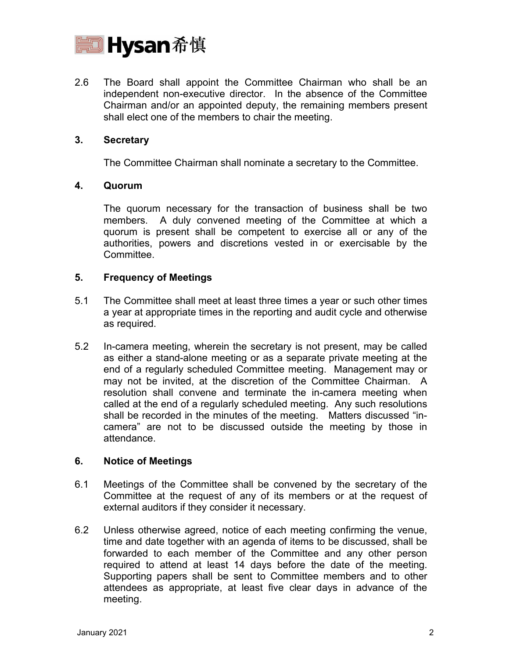

2.6 The Board shall appoint the Committee Chairman who shall be an independent non-executive director. In the absence of the Committee Chairman and/or an appointed deputy, the remaining members present shall elect one of the members to chair the meeting.

## **3. Secretary**

The Committee Chairman shall nominate a secretary to the Committee.

### **4. Quorum**

The quorum necessary for the transaction of business shall be two members. A duly convened meeting of the Committee at which a quorum is present shall be competent to exercise all or any of the authorities, powers and discretions vested in or exercisable by the Committee.

### **5. Frequency of Meetings**

- 5.1 The Committee shall meet at least three times a year or such other times a year at appropriate times in the reporting and audit cycle and otherwise as required.
- 5.2 In-camera meeting, wherein the secretary is not present, may be called as either a stand-alone meeting or as a separate private meeting at the end of a regularly scheduled Committee meeting. Management may or may not be invited, at the discretion of the Committee Chairman. A resolution shall convene and terminate the in-camera meeting when called at the end of a regularly scheduled meeting. Any such resolutions shall be recorded in the minutes of the meeting. Matters discussed "incamera" are not to be discussed outside the meeting by those in attendance.

## **6. Notice of Meetings**

- 6.1 Meetings of the Committee shall be convened by the secretary of the Committee at the request of any of its members or at the request of external auditors if they consider it necessary.
- 6.2 Unless otherwise agreed, notice of each meeting confirming the venue, time and date together with an agenda of items to be discussed, shall be forwarded to each member of the Committee and any other person required to attend at least 14 days before the date of the meeting. Supporting papers shall be sent to Committee members and to other attendees as appropriate, at least five clear days in advance of the meeting.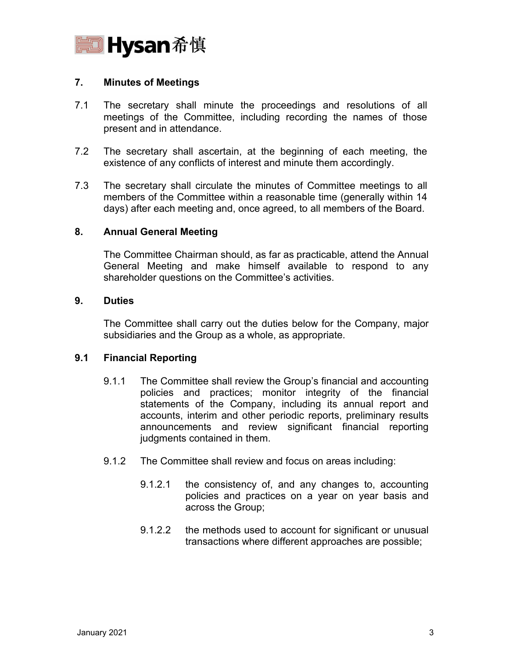

## **7. Minutes of Meetings**

- 7.1 The secretary shall minute the proceedings and resolutions of all meetings of the Committee, including recording the names of those present and in attendance.
- 7.2 The secretary shall ascertain, at the beginning of each meeting, the existence of any conflicts of interest and minute them accordingly.
- 7.3 The secretary shall circulate the minutes of Committee meetings to all members of the Committee within a reasonable time (generally within 14 days) after each meeting and, once agreed, to all members of the Board.

## **8. Annual General Meeting**

The Committee Chairman should, as far as practicable, attend the Annual General Meeting and make himself available to respond to any shareholder questions on the Committee's activities.

### **9. Duties**

The Committee shall carry out the duties below for the Company, major subsidiaries and the Group as a whole, as appropriate.

## **9.1 Financial Reporting**

- 9.1.1 The Committee shall review the Group's financial and accounting policies and practices; monitor integrity of the financial statements of the Company, including its annual report and accounts, interim and other periodic reports, preliminary results announcements and review significant financial reporting judgments contained in them.
- 9.1.2 The Committee shall review and focus on areas including:
	- 9.1.2.1 the consistency of, and any changes to, accounting policies and practices on a year on year basis and across the Group;
	- 9.1.2.2 the methods used to account for significant or unusual transactions where different approaches are possible;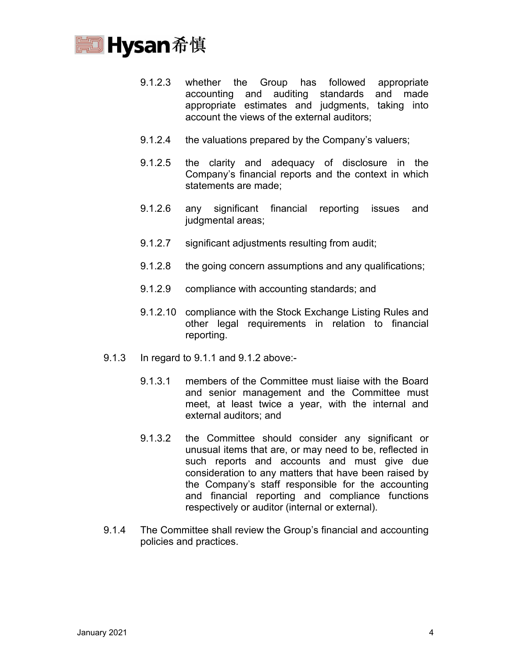

- 9.1.2.3 whether the Group has followed appropriate accounting and auditing standards and made appropriate estimates and judgments, taking into account the views of the external auditors;
- 9.1.2.4 the valuations prepared by the Company's valuers;
- 9.1.2.5 the clarity and adequacy of disclosure in the Company's financial reports and the context in which statements are made;
- 9.1.2.6 any significant financial reporting issues and judgmental areas;
- 9.1.2.7 significant adjustments resulting from audit;
- 9.1.2.8 the going concern assumptions and any qualifications;
- 9.1.2.9 compliance with accounting standards; and
- 9.1.2.10 compliance with the Stock Exchange Listing Rules and other legal requirements in relation to financial reporting.
- 9.1.3 In regard to 9.1.1 and 9.1.2 above:-
	- 9.1.3.1 members of the Committee must liaise with the Board and senior management and the Committee must meet, at least twice a year, with the internal and external auditors; and
	- 9.1.3.2 the Committee should consider any significant or unusual items that are, or may need to be, reflected in such reports and accounts and must give due consideration to any matters that have been raised by the Company's staff responsible for the accounting and financial reporting and compliance functions respectively or auditor (internal or external).
- 9.1.4 The Committee shall review the Group's financial and accounting policies and practices.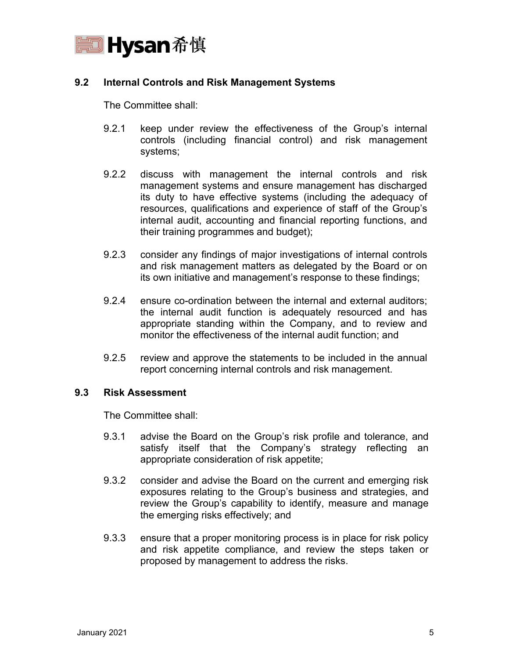

## **9.2 Internal Controls and Risk Management Systems**

The Committee shall:

- 9.2.1 keep under review the effectiveness of the Group's internal controls (including financial control) and risk management systems;
- 9.2.2 discuss with management the internal controls and risk management systems and ensure management has discharged its duty to have effective systems (including the adequacy of resources, qualifications and experience of staff of the Group's internal audit, accounting and financial reporting functions, and their training programmes and budget);
- 9.2.3 consider any findings of major investigations of internal controls and risk management matters as delegated by the Board or on its own initiative and management's response to these findings;
- 9.2.4 ensure co-ordination between the internal and external auditors; the internal audit function is adequately resourced and has appropriate standing within the Company, and to review and monitor the effectiveness of the internal audit function; and
- 9.2.5 review and approve the statements to be included in the annual report concerning internal controls and risk management.

## **9.3 Risk Assessment**

The Committee shall:

- 9.3.1 advise the Board on the Group's risk profile and tolerance, and satisfy itself that the Company's strategy reflecting an appropriate consideration of risk appetite;
- 9.3.2 consider and advise the Board on the current and emerging risk exposures relating to the Group's business and strategies, and review the Group's capability to identify, measure and manage the emerging risks effectively; and
- 9.3.3 ensure that a proper monitoring process is in place for risk policy and risk appetite compliance, and review the steps taken or proposed by management to address the risks.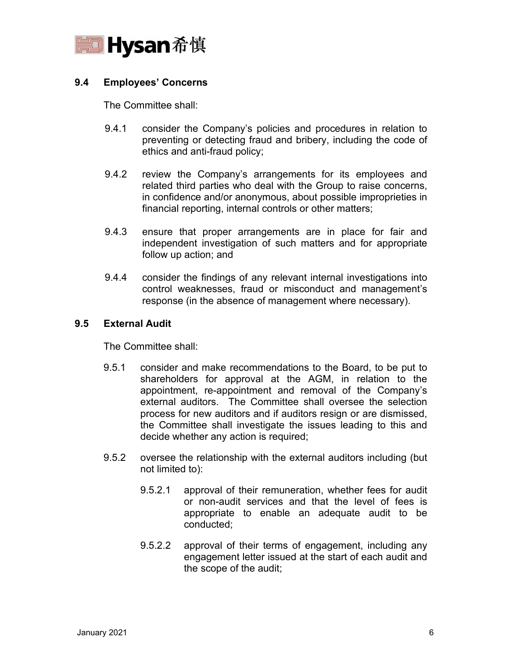

## **9.4 Employees' Concerns**

The Committee shall:

- 9.4.1 consider the Company's policies and procedures in relation to preventing or detecting fraud and bribery, including the code of ethics and anti-fraud policy;
- 9.4.2 review the Company's arrangements for its employees and related third parties who deal with the Group to raise concerns, in confidence and/or anonymous, about possible improprieties in financial reporting, internal controls or other matters;
- 9.4.3 ensure that proper arrangements are in place for fair and independent investigation of such matters and for appropriate follow up action; and
- 9.4.4 consider the findings of any relevant internal investigations into control weaknesses, fraud or misconduct and management's response (in the absence of management where necessary).

## **9.5 External Audit**

The Committee shall:

- 9.5.1 consider and make recommendations to the Board, to be put to shareholders for approval at the AGM, in relation to the appointment, re-appointment and removal of the Company's external auditors. The Committee shall oversee the selection process for new auditors and if auditors resign or are dismissed, the Committee shall investigate the issues leading to this and decide whether any action is required;
- 9.5.2 oversee the relationship with the external auditors including (but not limited to):
	- 9.5.2.1 approval of their remuneration, whether fees for audit or non-audit services and that the level of fees is appropriate to enable an adequate audit to be conducted;
	- 9.5.2.2 approval of their terms of engagement, including any engagement letter issued at the start of each audit and the scope of the audit;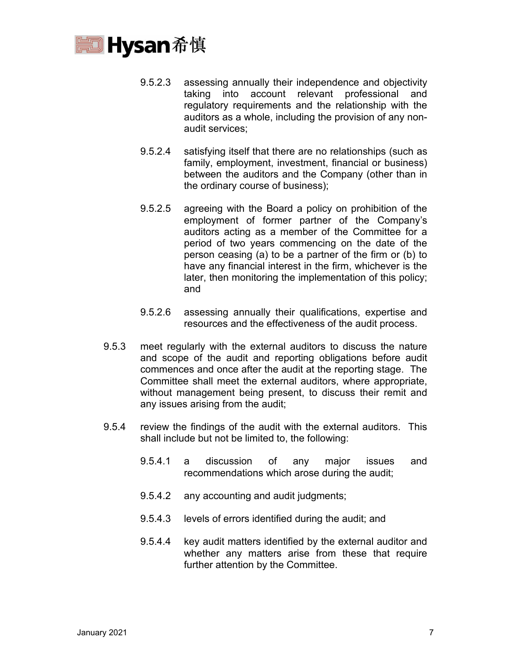

- 9.5.2.3 assessing annually their independence and objectivity taking into account relevant professional and regulatory requirements and the relationship with the auditors as a whole, including the provision of any nonaudit services;
- 9.5.2.4 satisfying itself that there are no relationships (such as family, employment, investment, financial or business) between the auditors and the Company (other than in the ordinary course of business);
- 9.5.2.5 agreeing with the Board a policy on prohibition of the employment of former partner of the Company's auditors acting as a member of the Committee for a period of two years commencing on the date of the person ceasing (a) to be a partner of the firm or (b) to have any financial interest in the firm, whichever is the later, then monitoring the implementation of this policy; and
- 9.5.2.6 assessing annually their qualifications, expertise and resources and the effectiveness of the audit process.
- 9.5.3 meet regularly with the external auditors to discuss the nature and scope of the audit and reporting obligations before audit commences and once after the audit at the reporting stage. The Committee shall meet the external auditors, where appropriate, without management being present, to discuss their remit and any issues arising from the audit;
- 9.5.4 review the findings of the audit with the external auditors. This shall include but not be limited to, the following:
	- 9.5.4.1 a discussion of any major issues and recommendations which arose during the audit;
	- 9.5.4.2 any accounting and audit judgments;
	- 9.5.4.3 levels of errors identified during the audit; and
	- 9.5.4.4 key audit matters identified by the external auditor and whether any matters arise from these that require further attention by the Committee.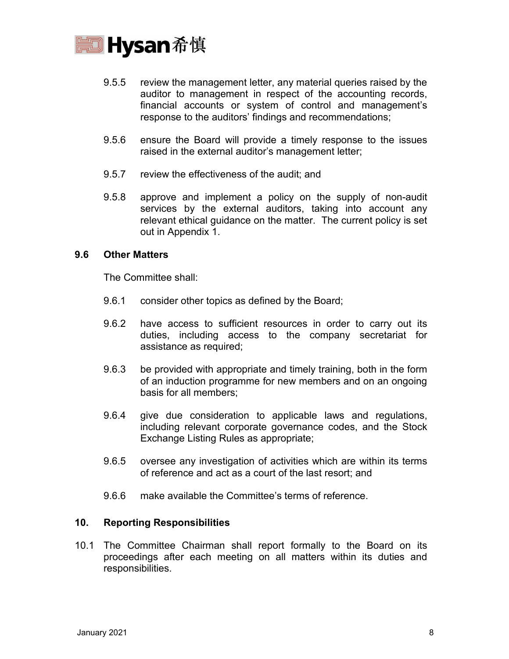

- 9.5.5 review the management letter, any material queries raised by the auditor to management in respect of the accounting records, financial accounts or system of control and management's response to the auditors' findings and recommendations;
- 9.5.6 ensure the Board will provide a timely response to the issues raised in the external auditor's management letter;
- 9.5.7 review the effectiveness of the audit; and
- 9.5.8 approve and implement a policy on the supply of non-audit services by the external auditors, taking into account any relevant ethical guidance on the matter. The current policy is set out in Appendix 1.

### **9.6 Other Matters**

The Committee shall:

- 9.6.1 consider other topics as defined by the Board;
- 9.6.2 have access to sufficient resources in order to carry out its duties, including access to the company secretariat for assistance as required;
- 9.6.3 be provided with appropriate and timely training, both in the form of an induction programme for new members and on an ongoing basis for all members;
- 9.6.4 give due consideration to applicable laws and regulations, including relevant corporate governance codes, and the Stock Exchange Listing Rules as appropriate;
- 9.6.5 oversee any investigation of activities which are within its terms of reference and act as a court of the last resort; and
- 9.6.6 make available the Committee's terms of reference.

## **10. Reporting Responsibilities**

10.1 The Committee Chairman shall report formally to the Board on its proceedings after each meeting on all matters within its duties and responsibilities.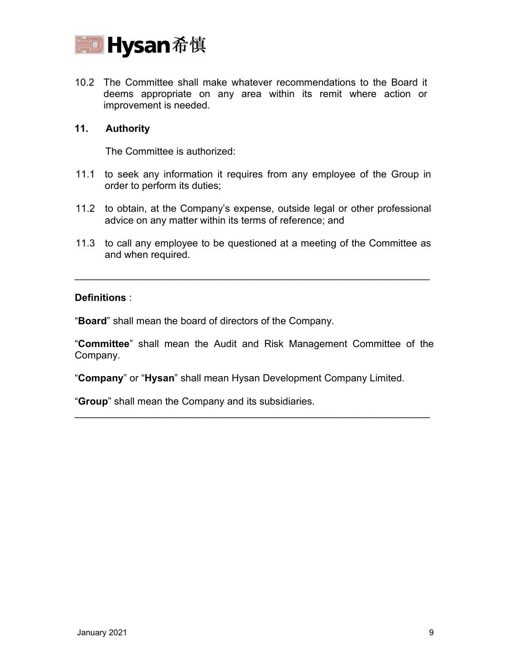

10.2 The Committee shall make whatever recommendations to the Board it deems appropriate on any area within its remit where action or improvement is needed.

## **11. Authority**

The Committee is authorized:

- 11.1 to seek any information it requires from any employee of the Group in order to perform its duties;
- 11.2 to obtain, at the Company's expense, outside legal or other professional advice on any matter within its terms of reference; and
- 11.3 to call any employee to be questioned at a meeting of the Committee as and when required.

\_\_\_\_\_\_\_\_\_\_\_\_\_\_\_\_\_\_\_\_\_\_\_\_\_\_\_\_\_\_\_\_\_\_\_\_\_\_\_\_\_\_\_\_\_\_\_\_\_\_\_\_\_\_\_\_\_\_\_\_\_\_\_\_

## **Definitions** :

"**Board**" shall mean the board of directors of the Company.

"**Committee**" shall mean the Audit and Risk Management Committee of the Company.

\_\_\_\_\_\_\_\_\_\_\_\_\_\_\_\_\_\_\_\_\_\_\_\_\_\_\_\_\_\_\_\_\_\_\_\_\_\_\_\_\_\_\_\_\_\_\_\_\_\_\_\_\_\_\_\_\_\_\_\_\_\_\_\_

"**Company**" or "**Hysan**" shall mean Hysan Development Company Limited.

"**Group**" shall mean the Company and its subsidiaries.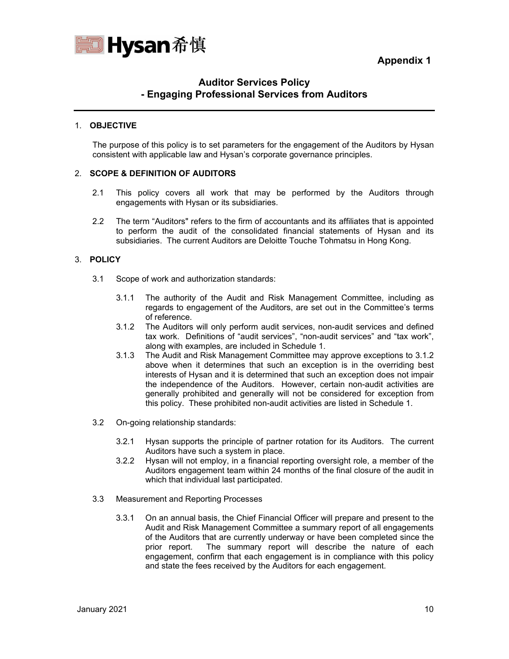**Appendix 1**



## **Auditor Services Policy - Engaging Professional Services from Auditors**

#### 1. **OBJECTIVE**

The purpose of this policy is to set parameters for the engagement of the Auditors by Hysan consistent with applicable law and Hysan's corporate governance principles.

#### 2. **SCOPE & DEFINITION OF AUDITORS**

- 2.1 This policy covers all work that may be performed by the Auditors through engagements with Hysan or its subsidiaries.
- 2.2 The term "Auditors" refers to the firm of accountants and its affiliates that is appointed to perform the audit of the consolidated financial statements of Hysan and its subsidiaries. The current Auditors are Deloitte Touche Tohmatsu in Hong Kong.

#### 3. **POLICY**

- 3.1 Scope of work and authorization standards:
	- 3.1.1 The authority of the Audit and Risk Management Committee, including as regards to engagement of the Auditors, are set out in the Committee's terms of reference.
	- 3.1.2 The Auditors will only perform audit services, non-audit services and defined tax work. Definitions of "audit services", "non-audit services" and "tax work", along with examples, are included in Schedule 1.
	- 3.1.3 The Audit and Risk Management Committee may approve exceptions to 3.1.2 above when it determines that such an exception is in the overriding best interests of Hysan and it is determined that such an exception does not impair the independence of the Auditors. However, certain non-audit activities are generally prohibited and generally will not be considered for exception from this policy. These prohibited non-audit activities are listed in Schedule 1.
- 3.2 On-going relationship standards:
	- 3.2.1 Hysan supports the principle of partner rotation for its Auditors. The current Auditors have such a system in place.
	- 3.2.2 Hysan will not employ, in a financial reporting oversight role, a member of the Auditors engagement team within 24 months of the final closure of the audit in which that individual last participated.
- 3.3 Measurement and Reporting Processes
	- 3.3.1 On an annual basis, the Chief Financial Officer will prepare and present to the Audit and Risk Management Committee a summary report of all engagements of the Auditors that are currently underway or have been completed since the prior report. The summary report will describe the nature of each engagement, confirm that each engagement is in compliance with this policy and state the fees received by the Auditors for each engagement.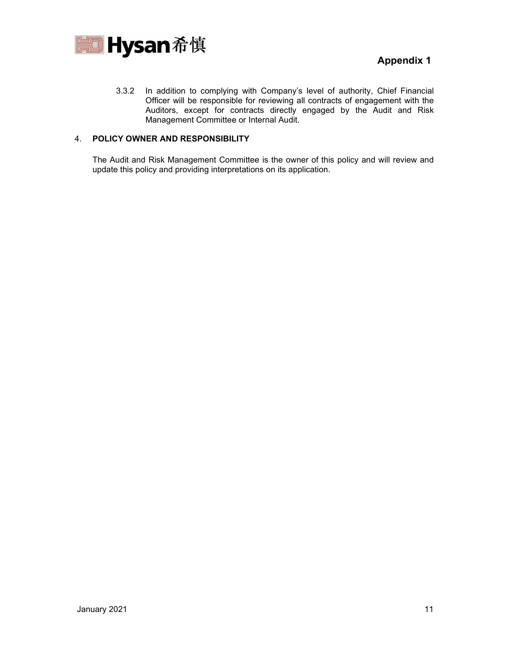

3.3.2 In addition to complying with Company's level of authority, Chief Financial Officer will be responsible for reviewing all contracts of engagement with the Auditors, except for contracts directly engaged by the Audit and Risk Management Committee or Internal Audit.

#### 4. **POLICY OWNER AND RESPONSIBILITY**

The Audit and Risk Management Committee is the owner of this policy and will review and update this policy and providing interpretations on its application.